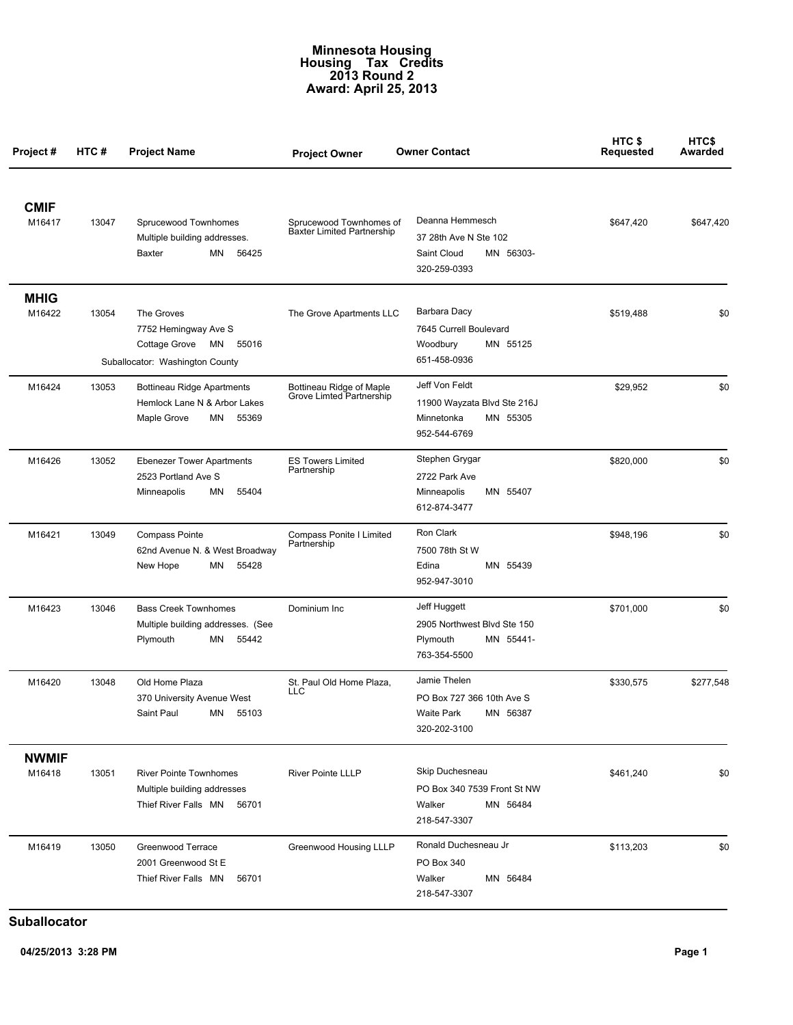## **Minnesota Housing Housing Tax Credits 2013 Round 2 Award: April 25, 2013**

| Project #              | HTC # | <b>Project Name</b>                                                                                | <b>Project Owner</b>                                         | <b>Owner Contact</b>                                                                    | HTC\$<br>Requested | HTC\$<br>Awarded |
|------------------------|-------|----------------------------------------------------------------------------------------------------|--------------------------------------------------------------|-----------------------------------------------------------------------------------------|--------------------|------------------|
| <b>CMIF</b><br>M16417  | 13047 | Sprucewood Townhomes<br>Multiple building addresses.<br>MN<br><b>Baxter</b><br>56425               | Sprucewood Townhomes of<br><b>Baxter Limited Partnership</b> | Deanna Hemmesch<br>37 28th Ave N Ste 102<br>MN 56303-<br>Saint Cloud<br>320-259-0393    | \$647,420          | \$647,420        |
| <b>MHIG</b><br>M16422  | 13054 | The Groves<br>7752 Hemingway Ave S<br>Cottage Grove<br>MN 55016<br>Suballocator: Washington County | The Grove Apartments LLC                                     | Barbara Dacy<br>7645 Currell Boulevard<br>Woodbury<br>MN 55125<br>651-458-0936          | \$519,488          | \$0              |
| M16424                 | 13053 | <b>Bottineau Ridge Apartments</b><br>Hemlock Lane N & Arbor Lakes<br>55369<br>Maple Grove<br>MN    | Bottineau Ridge of Maple<br>Grove Limted Partnership         | Jeff Von Feldt<br>11900 Wayzata Blvd Ste 216J<br>Minnetonka<br>MN 55305<br>952-544-6769 | \$29,952           | \$0              |
| M16426                 | 13052 | <b>Ebenezer Tower Apartments</b><br>2523 Portland Ave S<br>55404<br>Minneapolis<br>ΜN              | <b>ES Towers Limited</b><br>Partnership                      | Stephen Grygar<br>2722 Park Ave<br>MN 55407<br>Minneapolis<br>612-874-3477              | \$820,000          | \$0              |
| M16421                 | 13049 | Compass Pointe<br>62nd Avenue N. & West Broadway<br>New Hope<br>ΜN<br>55428                        | Compass Ponite I Limited<br>Partnership                      | Ron Clark<br>7500 78th St W<br>Edina<br>MN 55439<br>952-947-3010                        | \$948,196          | \$0              |
| M16423                 | 13046 | <b>Bass Creek Townhomes</b><br>Multiple building addresses. (See<br>Plymouth<br>MN<br>55442        | Dominium Inc                                                 | Jeff Huggett<br>2905 Northwest Blvd Ste 150<br>Plymouth<br>MN 55441-<br>763-354-5500    | \$701,000          | \$0              |
| M16420                 | 13048 | Old Home Plaza<br>370 University Avenue West<br>Saint Paul MN 55103                                | St. Paul Old Home Plaza.<br>LLC                              | Jamie Thelen<br>PO Box 727 366 10th Ave S<br>Waite Park MN 56387<br>320-202-3100        | \$330,575          | \$277,548        |
| <b>NWMIF</b><br>M16418 | 13051 | <b>River Pointe Townhomes</b><br>Multiple building addresses<br>Thief River Falls MN<br>56701      | <b>River Pointe LLLP</b>                                     | Skip Duchesneau<br>PO Box 340 7539 Front St NW<br>MN 56484<br>Walker<br>218-547-3307    | \$461,240          | \$0              |
| M16419                 | 13050 | Greenwood Terrace<br>2001 Greenwood St E<br>Thief River Falls MN<br>56701                          | Greenwood Housing LLLP                                       | Ronald Duchesneau Jr<br>PO Box 340<br>Walker<br>MN 56484<br>218-547-3307                | \$113,203          | \$0              |

**Suballocator**